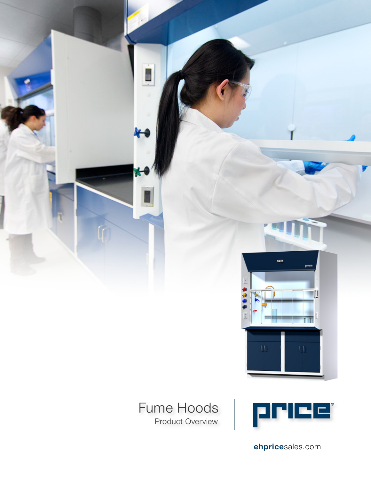

### Fume Hoods Product Overview



 $\mathsf{m}$ 

ehpricesales.com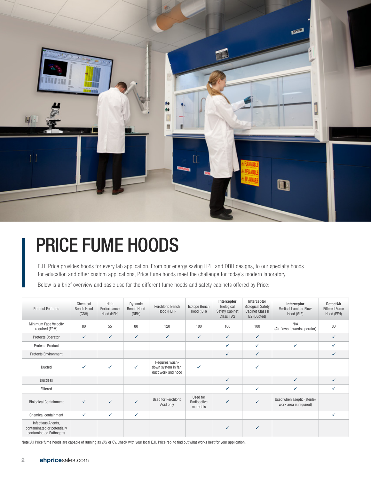

## PRICE FUME HOODS

E.H. Price provides hoods for every lab application. From our energy saving HPH and DBH designs, to our specialty hoods for education and other custom applications, Price fume hoods meet the challenge for today's modern laboratory.

Below is a brief overview and basic use for the different fume hoods and safety cabinets offered by Price:

| <b>Product Features</b>                                                     | Chemical<br><b>Bench Hood</b><br>(CBH) | High<br>Performance<br>Hood (HPH) | Dynamic<br>Bench Hood<br>(DBH) | Perchloric Bench<br>Hood (PBH)                              | Isotope Bench<br>Hood (IBH)          | Interceptor<br>Biological<br><b>Safety Cabinet</b><br>Class II A2 | Interceptor<br><b>Biological Safety</b><br><b>Cabinet Class II</b><br>B2 (Ducted) | Interceptor<br><b>Vertical Laminar Flow</b><br>Hood (VLF) | <b>DetectAir</b><br><b>Filtered Fume</b><br>Hood (FFH) |
|-----------------------------------------------------------------------------|----------------------------------------|-----------------------------------|--------------------------------|-------------------------------------------------------------|--------------------------------------|-------------------------------------------------------------------|-----------------------------------------------------------------------------------|-----------------------------------------------------------|--------------------------------------------------------|
| Minimum Face Velocity<br>required (FPM)                                     | 80                                     | 55                                | 80                             | 120                                                         | 100                                  | 100                                                               | 100                                                                               | N/A<br>(Air flows towards operator)                       | 80                                                     |
| Protects Operator                                                           | $\checkmark$                           | $\checkmark$                      | $\checkmark$                   | $\checkmark$                                                | $\checkmark$                         | $\checkmark$                                                      | $\checkmark$                                                                      |                                                           | ✓                                                      |
| <b>Protects Product</b>                                                     |                                        |                                   |                                |                                                             |                                      | $\checkmark$                                                      | $\checkmark$                                                                      | ✓                                                         | ✓                                                      |
| <b>Protects Environment</b>                                                 |                                        |                                   |                                |                                                             |                                      | $\checkmark$                                                      | $\checkmark$                                                                      |                                                           | ✓                                                      |
| Ducted                                                                      | ✓                                      | ✓                                 | ✓                              | Requires wash-<br>down system in fan,<br>duct work and hood | $\checkmark$                         |                                                                   | ✓                                                                                 |                                                           |                                                        |
| <b>Ductless</b>                                                             |                                        |                                   |                                |                                                             |                                      | $\checkmark$                                                      |                                                                                   | $\checkmark$                                              | ✓                                                      |
| Filtered                                                                    |                                        |                                   |                                |                                                             |                                      | $\checkmark$                                                      | $\checkmark$                                                                      | $\checkmark$                                              |                                                        |
| <b>Biological Containment</b>                                               | ✓                                      | ✓                                 | ✓                              | <b>Used for Perchloric</b><br>Acid only                     | Used for<br>Radioactive<br>materials | $\checkmark$                                                      | $\checkmark$                                                                      | Used when aseptic (sterile)<br>work area is required)     |                                                        |
| Chemical containment                                                        | $\checkmark$                           | ✓                                 | ✓                              |                                                             |                                      |                                                                   |                                                                                   |                                                           | ✓                                                      |
| Infectious Agents,<br>contaminated or potentially<br>contaminated Pathogens |                                        |                                   |                                |                                                             |                                      |                                                                   | $\checkmark$                                                                      |                                                           |                                                        |

Note: All Price fume hoods are capable of running as VAV or CV. Check with your local E.H. Price rep. to find out what works best for your application.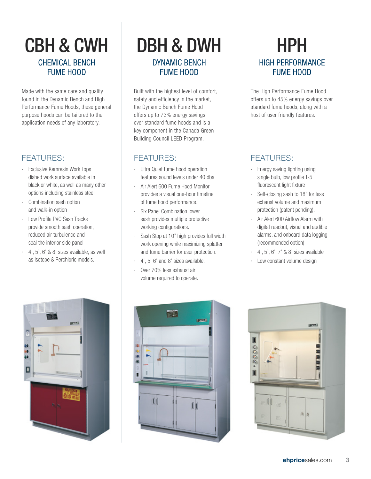## CHEMICAL BENCH FUME HOOD

Made with the same care and quality found in the Dynamic Bench and High Performance Fume Hoods, these general purpose hoods can be tailored to the application needs of any laboratory.

#### FEATURES:

- · Exclusive Kemresin Work Tops dished work surface available in black or white, as well as many other options including stainless steel
- · Combination sash option and walk-in option
- · Low Profile PVC Sash Tracks provide smooth sash operation, reduced air turbulence and seal the interior side panel
- $\cdot$  4', 5', 6' & 8' sizes available, as well as Isotope & Perchloric models.



### CBH & CWH DBH & DWH HPH DYNAMIC BENCH FUME HOOD

Built with the highest level of comfort, safety and efficiency in the market, the Dynamic Bench Fume Hood offers up to 73% energy savings over standard fume hoods and is a key component in the Canada Green Building Council LEED Program.

#### FEATURES:

- · Ultra Quiet fume hood operation features sound levels under 40 dba
- · Air Alert 600 Fume Hood Monitor provides a visual one-hour timeline of fume hood performance.
- Six Panel Combination lower sash provides multiple protective working configurations.
- Sash Stop at 10" high provides full width work opening while maximizing splatter and fume barrier for user protection.
- · 4', 5' 6' and 8' sizes available.
- · Over 70% less exhaust air volume required to operate.

# HIGH PERFORMANCE FUME HOOD

The High Performance Fume Hood offers up to 45% energy savings over standard fume hoods, along with a host of user friendly features.

### FEATURES:

- · Energy saving lighting using single bulb, low profile T-5 fluorescent light fixture
- · Self-closing sash to 18" for less exhaust volume and maximum protection (patent pending).
- · Air Alert 600 Airflow Alarm with digital readout, visual and audible alarms, and onboard data logging (recommended option)
- · 4', 5', 6', 7' & 8' sizes available
- · Low constant volume design